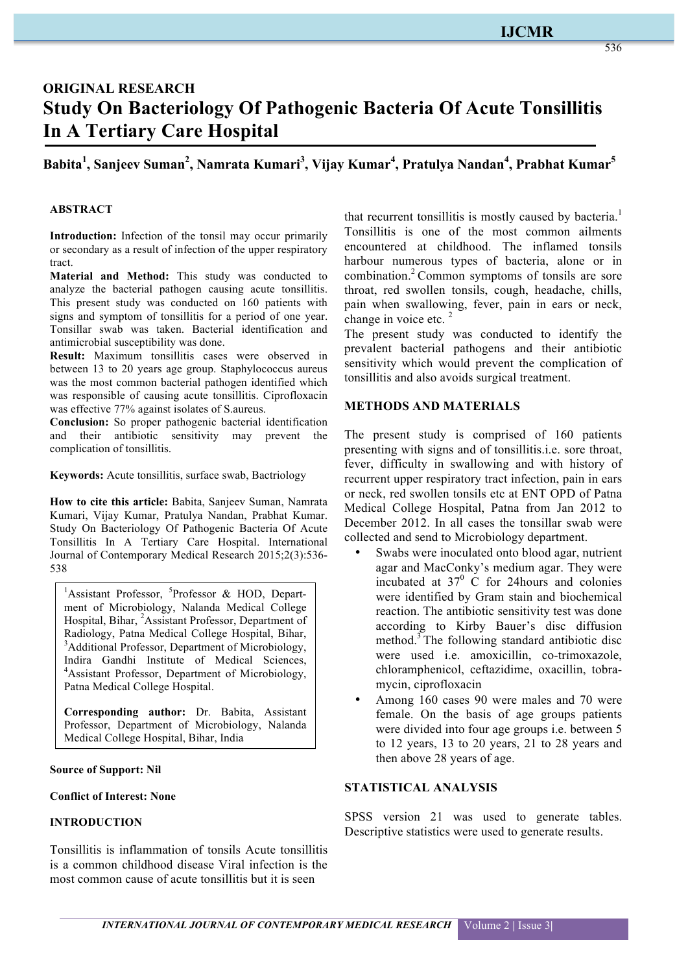# **IJCMR**

536

# **ORIGINAL RESEARCH Study On Bacteriology Of Pathogenic Bacteria Of Acute Tonsillitis In A Tertiary Care Hospital**

# **Babita1 , Sanjeev Suman<sup>2</sup> , Namrata Kumari3 , Vijay Kumar4 , Pratulya Nandan<sup>4</sup> , Prabhat Kumar5**

#### **ABSTRACT**

**Introduction:** Infection of the tonsil may occur primarily or secondary as a result of infection of the upper respiratory tract.

**Material and Method:** This study was conducted to analyze the bacterial pathogen causing acute tonsillitis. This present study was conducted on 160 patients with signs and symptom of tonsillitis for a period of one year. Tonsillar swab was taken. Bacterial identification and antimicrobial susceptibility was done.

**Result:** Maximum tonsillitis cases were observed in between 13 to 20 years age group. Staphylococcus aureus was the most common bacterial pathogen identified which was responsible of causing acute tonsillitis. Ciprofloxacin was effective 77% against isolates of S.aureus.

**Conclusion:** So proper pathogenic bacterial identification and their antibiotic sensitivity may prevent the complication of tonsillitis.

**Keywords:** Acute tonsillitis, surface swab, Bactriology

**How to cite this article:** Babita, Sanjeev Suman, Namrata Kumari, Vijay Kumar, Pratulya Nandan, Prabhat Kumar. Study On Bacteriology Of Pathogenic Bacteria Of Acute Tonsillitis In A Tertiary Care Hospital. International Journal of Contemporary Medical Research 2015;2(3):536- 538

<sup>1</sup>Assistant Professor, <sup>5</sup>Professor & HOD, Department of Microbiology, Nalanda Medical College Hospital, Bihar, <sup>2</sup>Assistant Professor, Department of Radiology, Patna Medical College Hospital, Bihar, <sup>3</sup>Additional Professor, Department of Microbiology, Indira Gandhi Institute of Medical Sciences, 4 Assistant Professor, Department of Microbiology, Patna Medical College Hospital.

**Corresponding author:** Dr. Babita, Assistant Professor, Department of Microbiology, Nalanda Medical College Hospital, Bihar, India

**Source of Support: Nil**

**Conflict of Interest: None**

#### **INTRODUCTION**

Tonsillitis is inflammation of tonsils Acute tonsillitis is a common childhood disease Viral infection is the most common cause of acute tonsillitis but it is seen

that recurrent tonsillitis is mostly caused by bacteria.<sup>1</sup> Tonsillitis is one of the most common ailments encountered at childhood. The inflamed tonsils harbour numerous types of bacteria, alone or in combination.2 Common symptoms of tonsils are sore throat, red swollen tonsils, cough, headache, chills, pain when swallowing, fever, pain in ears or neck, change in voice etc.  $2^2$ 

The present study was conducted to identify the prevalent bacterial pathogens and their antibiotic sensitivity which would prevent the complication of tonsillitis and also avoids surgical treatment.

#### **METHODS AND MATERIALS**

The present study is comprised of 160 patients presenting with signs and of tonsillitis.i.e. sore throat, fever, difficulty in swallowing and with history of recurrent upper respiratory tract infection, pain in ears or neck, red swollen tonsils etc at ENT OPD of Patna Medical College Hospital, Patna from Jan 2012 to December 2012. In all cases the tonsillar swab were collected and send to Microbiology department.

- Swabs were inoculated onto blood agar, nutrient agar and MacConky's medium agar. They were incubated at  $37<sup>0</sup>$  C for 24 hours and colonies were identified by Gram stain and biochemical reaction. The antibiotic sensitivity test was done according to Kirby Bauer's disc diffusion method.3 The following standard antibiotic disc were used i.e. amoxicillin, co-trimoxazole, chloramphenicol, ceftazidime, oxacillin, tobramycin, ciprofloxacin
- Among 160 cases 90 were males and 70 were female. On the basis of age groups patients were divided into four age groups i.e. between 5 to 12 years, 13 to 20 years, 21 to 28 years and then above 28 years of age.

#### **STATISTICAL ANALYSIS**

SPSS version 21 was used to generate tables. Descriptive statistics were used to generate results.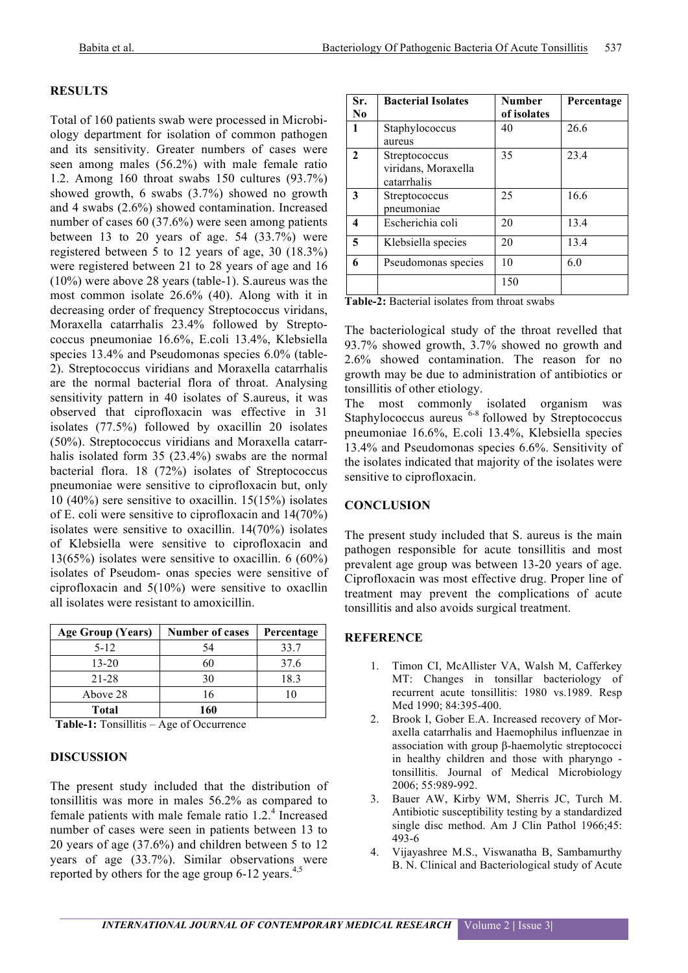### **RESULTS**

Total of 160 patients swab were processed in Microbiology department for isolation of common pathogen and its sensitivity. Greater numbers of cases were seen among males (56.2%) with male female ratio 1.2. Among 160 throat swabs 150 cultures (93.7%) showed growth, 6 swabs (3.7%) showed no growth and 4 swabs (2.6%) showed contamination. Increased number of cases 60 (37.6%) were seen among patients between 13 to 20 years of age.  $54$   $(33.7%)$  were registered between 5 to 12 years of age, 30 (18.3%) were registered between 21 to 28 years of age and 16 (10%) were above 28 years (table-1). S.aureus was the most common isolate 26.6% (40). Along with it in decreasing order of frequency Streptococcus viridans, Moraxella catarrhalis 23.4% followed by Streptococcus pneumoniae 16.6%, E.coli 13.4%, Klebsiella species 13.4% and Pseudomonas species 6.0% (table-2). Streptococcus viridians and Moraxella catarrhalis are the normal bacterial flora of throat. Analysing sensitivity pattern in 40 isolates of S.aureus, it was observed that ciprofloxacin was effective in 31 isolates (77.5%) followed by oxacillin 20 isolates (50%). Streptococcus viridians and Moraxella catarrhalis isolated form 35 (23.4%) swabs are the normal bacterial flora. 18 (72%) isolates of Streptococcus pneumoniae were sensitive to ciprofloxacin but, only 10 (40%) sere sensitive to oxacillin. 15(15%) isolates of E. coli were sensitive to ciprofloxacin and 14(70%) isolates were sensitive to oxacillin. 14(70%) isolates of Klebsiella were sensitive to ciprofloxacin and 13(65%) isolates were sensitive to oxacillin. 6 (60%) isolates of Pseudom- onas species were sensitive of ciprofloxacin and 5(10%) were sensitive to oxacllin all isolates were resistant to amoxicillin.

| <b>Age Group (Years)</b> | <b>Number of cases</b> | Percentage |  |
|--------------------------|------------------------|------------|--|
| $5-12$                   | 54                     | 33.7       |  |
| $13 - 20$                | 60                     | 37.6       |  |
| 21-28                    | 30                     | 18.3       |  |
| Above 28                 | 16                     |            |  |
| Total                    | 160                    |            |  |

**Table-1:** Tonsillitis – Age of Occurrence

### **DISCUSSION**

The present study included that the distribution of tonsillitis was more in males 56.2% as compared to female patients with male female ratio  $1.2<sup>4</sup>$  Increased number of cases were seen in patients between 13 to 20 years of age (37.6%) and children between 5 to 12 years of age (33.7%). Similar observations were reported by others for the age group  $6-12$  years.<sup>4,5</sup>

| Sr.<br>N <sub>0</sub> | <b>Bacterial Isolates</b>                           | <b>Number</b><br>of isolates | Percentage |
|-----------------------|-----------------------------------------------------|------------------------------|------------|
| $\mathbf{1}$          | Staphylococcus<br>aureus                            | 40                           | 26.6       |
| $\mathbf{2}$          | Streptococcus<br>viridans, Moraxella<br>catarrhalis | 35                           | 23.4       |
| 3                     | Streptococcus<br>pneumoniae                         | 25                           | 16.6       |
| 4                     | Escherichia coli                                    | 20                           | 13.4       |
| 5                     | Klebsiella species                                  | 20                           | 13.4       |
| 6                     | Pseudomonas species                                 | 10                           | 6.0        |
|                       |                                                     | 150                          |            |

| Table-2: Bacterial isolates from throat swabs |  |  |  |  |
|-----------------------------------------------|--|--|--|--|
|-----------------------------------------------|--|--|--|--|

The bacteriological study of the throat revelled that 93.7% showed growth, 3.7% showed no growth and 2.6% showed contamination. The reason for no growth may be due to administration of antibiotics or tonsillitis of other etiology.

The most commonly isolated organism was Staphylococcus aureus  $6-8$  followed by Streptococcus pneumoniae 16.6%, E.coli 13.4%, Klebsiella species 13.4% and Pseudomonas species 6.6%. Sensitivity of the isolates indicated that majority of the isolates were sensitive to ciprofloxacin.

### **CONCLUSION**

The present study included that S. aureus is the main pathogen responsible for acute tonsillitis and most prevalent age group was between 13-20 years of age. Ciprofloxacin was most effective drug. Proper line of treatment may prevent the complications of acute tonsillitis and also avoids surgical treatment.

## **REFERENCE**

- 1. Timon CI, McAllister VA, Walsh M, Cafferkey MT: Changes in tonsillar bacteriology of recurrent acute tonsillitis: 1980 vs.1989. Resp Med 1990; 84:395-400.
- 2. Brook I, Gober E.A. Increased recovery of Moraxella catarrhalis and Haemophilus influenzae in association with group β-haemolytic streptococci in healthy children and those with pharyngo tonsillitis. Journal of Medical Microbiology 2006; 55:989-992.
- 3. Bauer AW, Kirby WM, Sherris JC, Turch M. Antibiotic susceptibility testing by a standardized single disc method. Am J Clin Pathol 1966;45: 493-6
- 4. Vijayashree M.S., Viswanatha B, Sambamurthy B. N. Clinical and Bacteriological study of Acute